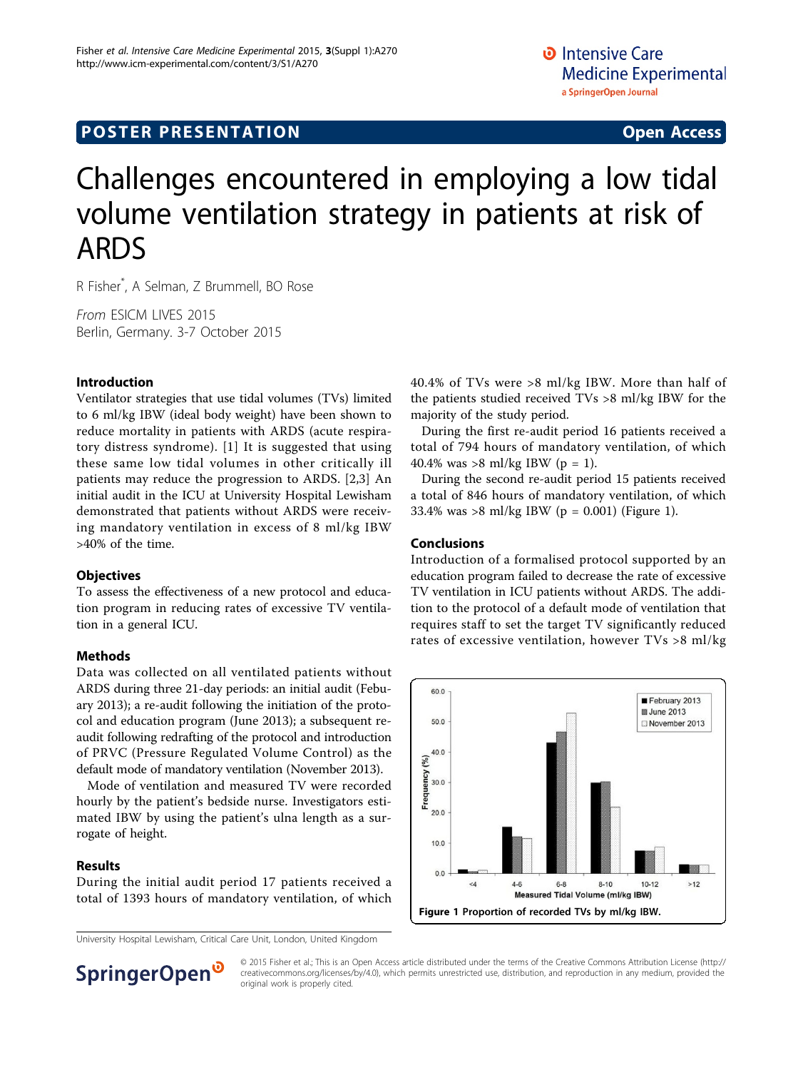# **POSTER PRESENTATION CONSUMING ACCESS**

# Challenges encountered in employing a low tidal volume ventilation strategy in patients at risk of ARDS

R Fisher\* , A Selman, Z Brummell, BO Rose

From ESICM LIVES 2015 Berlin, Germany. 3-7 October 2015

## Introduction

Ventilator strategies that use tidal volumes (TVs) limited to 6 ml/kg IBW (ideal body weight) have been shown to reduce mortality in patients with ARDS (acute respiratory distress syndrome). [[1\]](#page-1-0) It is suggested that using these same low tidal volumes in other critically ill patients may reduce the progression to ARDS. [\[2,3](#page-1-0)] An initial audit in the ICU at University Hospital Lewisham demonstrated that patients without ARDS were receiving mandatory ventilation in excess of 8 ml/kg IBW >40% of the time.

## **Objectives**

To assess the effectiveness of a new protocol and education program in reducing rates of excessive TV ventilation in a general ICU.

## Methods

Data was collected on all ventilated patients without ARDS during three 21-day periods: an initial audit (Febuary 2013); a re-audit following the initiation of the protocol and education program (June 2013); a subsequent reaudit following redrafting of the protocol and introduction of PRVC (Pressure Regulated Volume Control) as the default mode of mandatory ventilation (November 2013).

Mode of ventilation and measured TV were recorded hourly by the patient's bedside nurse. Investigators estimated IBW by using the patient's ulna length as a surrogate of height.

#### Results

During the initial audit period 17 patients received a total of 1393 hours of mandatory ventilation, of which

University Hospital Lewisham, Critical Care Unit, London, United Kingdom

40.4% of TVs were >8 ml/kg IBW. More than half of the patients studied received TVs >8 ml/kg IBW for the majority of the study period.

During the first re-audit period 16 patients received a total of 794 hours of mandatory ventilation, of which 40.4% was >8 ml/kg IBW (p = 1).

During the second re-audit period 15 patients received a total of 846 hours of mandatory ventilation, of which 33.4% was >8 ml/kg IBW (p = 0.001) (Figure 1).

#### Conclusions

Introduction of a formalised protocol supported by an education program failed to decrease the rate of excessive TV ventilation in ICU patients without ARDS. The addition to the protocol of a default mode of ventilation that requires staff to set the target TV significantly reduced rates of excessive ventilation, however TVs >8 ml/kg





© 2015 Fisher et al.; This is an Open Access article distributed under the terms of the Creative Commons Attribution License [\(http://](http://creativecommons.org/licenses/by/4.0) [creativecommons.org/licenses/by/4.0](http://creativecommons.org/licenses/by/4.0)), which permits unrestricted use, distribution, and reproduction in any medium, provided the original work is properly cited.